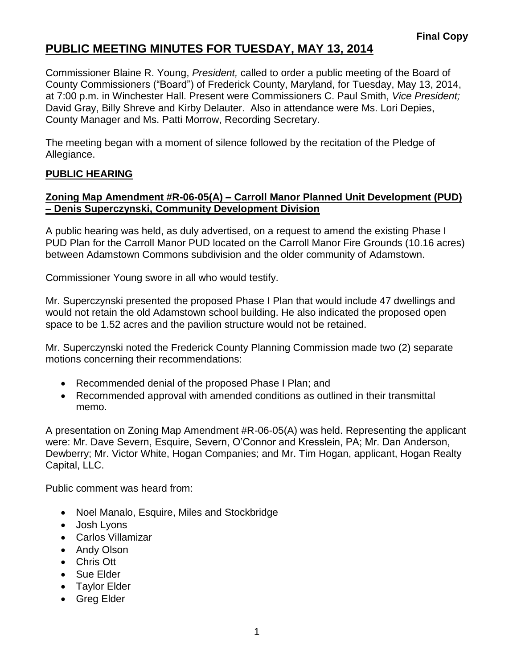## **PUBLIC MEETING MINUTES FOR TUESDAY, MAY 13, 2014**

Commissioner Blaine R. Young, *President,* called to order a public meeting of the Board of County Commissioners ("Board") of Frederick County, Maryland, for Tuesday, May 13, 2014, at 7:00 p.m. in Winchester Hall. Present were Commissioners C. Paul Smith, *Vice President;* David Gray, Billy Shreve and Kirby Delauter. Also in attendance were Ms. Lori Depies, County Manager and Ms. Patti Morrow, Recording Secretary.

The meeting began with a moment of silence followed by the recitation of the Pledge of Allegiance.

### **PUBLIC HEARING**

### **Zoning Map Amendment #R-06-05(A) – Carroll Manor Planned Unit Development (PUD) – Denis Superczynski, Community Development Division**

A public hearing was held, as duly advertised, on a request to amend the existing Phase I PUD Plan for the Carroll Manor PUD located on the Carroll Manor Fire Grounds (10.16 acres) between Adamstown Commons subdivision and the older community of Adamstown.

Commissioner Young swore in all who would testify.

Mr. Superczynski presented the proposed Phase I Plan that would include 47 dwellings and would not retain the old Adamstown school building. He also indicated the proposed open space to be 1.52 acres and the pavilion structure would not be retained.

Mr. Superczynski noted the Frederick County Planning Commission made two (2) separate motions concerning their recommendations:

- Recommended denial of the proposed Phase I Plan; and
- Recommended approval with amended conditions as outlined in their transmittal memo.

A presentation on Zoning Map Amendment #R-06-05(A) was held. Representing the applicant were: Mr. Dave Severn, Esquire, Severn, O'Connor and Kresslein, PA; Mr. Dan Anderson, Dewberry; Mr. Victor White, Hogan Companies; and Mr. Tim Hogan, applicant, Hogan Realty Capital, LLC.

Public comment was heard from:

- Noel Manalo, Esquire, Miles and Stockbridge
- Josh Lyons
- Carlos Villamizar
- Andy Olson
- Chris Ott
- Sue Elder
- Taylor Elder
- Greg Elder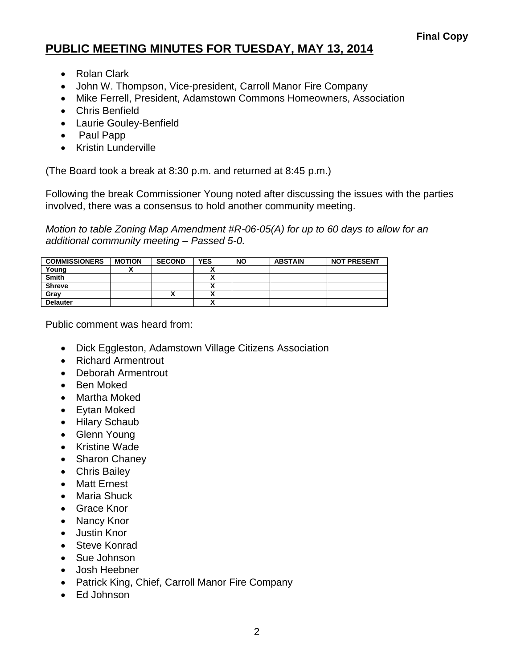## **PUBLIC MEETING MINUTES FOR TUESDAY, MAY 13, 2014**

- Rolan Clark
- John W. Thompson, Vice-president, Carroll Manor Fire Company
- Mike Ferrell, President, Adamstown Commons Homeowners, Association
- Chris Benfield
- Laurie Gouley-Benfield
- Paul Papp
- Kristin Lunderville

(The Board took a break at 8:30 p.m. and returned at 8:45 p.m.)

Following the break Commissioner Young noted after discussing the issues with the parties involved, there was a consensus to hold another community meeting.

*Motion to table Zoning Map Amendment #R-06-05(A) for up to 60 days to allow for an additional community meeting – Passed 5-0.*

| <b>COMMISSIONERS</b> | <b>MOTION</b> | <b>SECOND</b> | <b>YES</b> | <b>NO</b> | <b>ABSTAIN</b> | <b>NOT PRESENT</b> |
|----------------------|---------------|---------------|------------|-----------|----------------|--------------------|
| Young                |               |               |            |           |                |                    |
| <b>Smith</b>         |               |               |            |           |                |                    |
| <b>Shreve</b>        |               |               |            |           |                |                    |
| Grav                 |               | Λ             |            |           |                |                    |
| <b>Delauter</b>      |               |               |            |           |                |                    |

Public comment was heard from:

- Dick Eggleston, Adamstown Village Citizens Association
- Richard Armentrout
- Deborah Armentrout
- Ben Moked
- Martha Moked
- Eytan Moked
- Hilary Schaub
- Glenn Young
- Kristine Wade
- Sharon Chaney
- Chris Bailey
- Matt Ernest
- Maria Shuck
- Grace Knor
- Nancy Knor
- Justin Knor
- Steve Konrad
- Sue Johnson
- Josh Heebner
- Patrick King, Chief, Carroll Manor Fire Company
- Ed Johnson